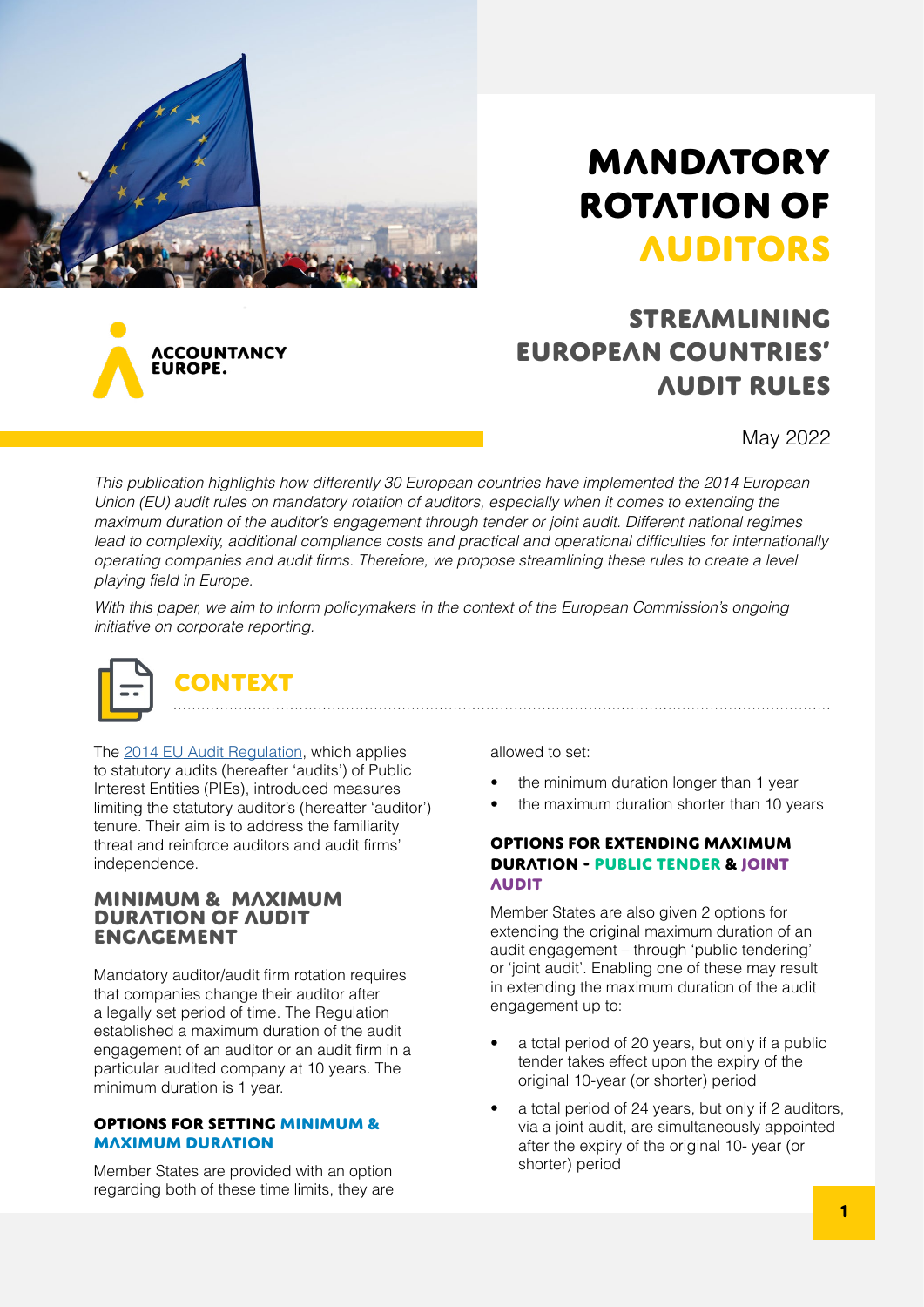

**ACCOUNTANCY** UROPE.

# **MANDATORY** ROTATION OF **AUDITORS**

## streamlining European countries' Audit rules

May 2022

This publication highlights how differently 30 European countries have implemented the 2014 European Union (EU) audit rules on mandatory rotation of auditors, especially when it comes to extending the maximum duration of the auditor's engagement through tender or joint audit. Different national regimes lead to complexity, additional compliance costs and practical and operational difficulties for internationally operating companies and audit firms. Therefore, we propose streamlining these rules to create a level playing field in Europe.

With this paper, we aim to inform policymakers in the context of the European Commission's ongoing initiative on corporate reporting.



The [2014 EU Audit Regulation,](https://eur-lex.europa.eu/legal-content/EN/TXT/?uri=celex%3A32014R0537) which applies to statutory audits (hereafter 'audits') of Public Interest Entities (PIEs), introduced measures limiting the statutory auditor's (hereafter 'auditor') tenure. Their aim is to address the familiarity threat and reinforce auditors and audit firms' independence.

## Minimum & maximum duration of audit **ENGAGEMENT**

Mandatory auditor/audit firm rotation requires that companies change their auditor after a legally set period of time. The Regulation established a maximum duration of the audit engagement of an auditor or an audit firm in a particular audited company at 10 years. The minimum duration is 1 year.

#### Options for setting minimum & maximum duration

Member States are provided with an option regarding both of these time limits, they are allowed to set:

- the minimum duration longer than 1 year
- the maximum duration shorter than 10 years

### Options for extending maximum duration - public tender & joint **AUDIT**

Member States are also given 2 options for extending the original maximum duration of an audit engagement – through 'public tendering' or 'joint audit'. Enabling one of these may result in extending the maximum duration of the audit engagement up to:

- a total period of 20 years, but only if a public tender takes effect upon the expiry of the original 10-year (or shorter) period
- a total period of 24 years, but only if 2 auditors, via a joint audit, are simultaneously appointed after the expiry of the original 10- year (or shorter) period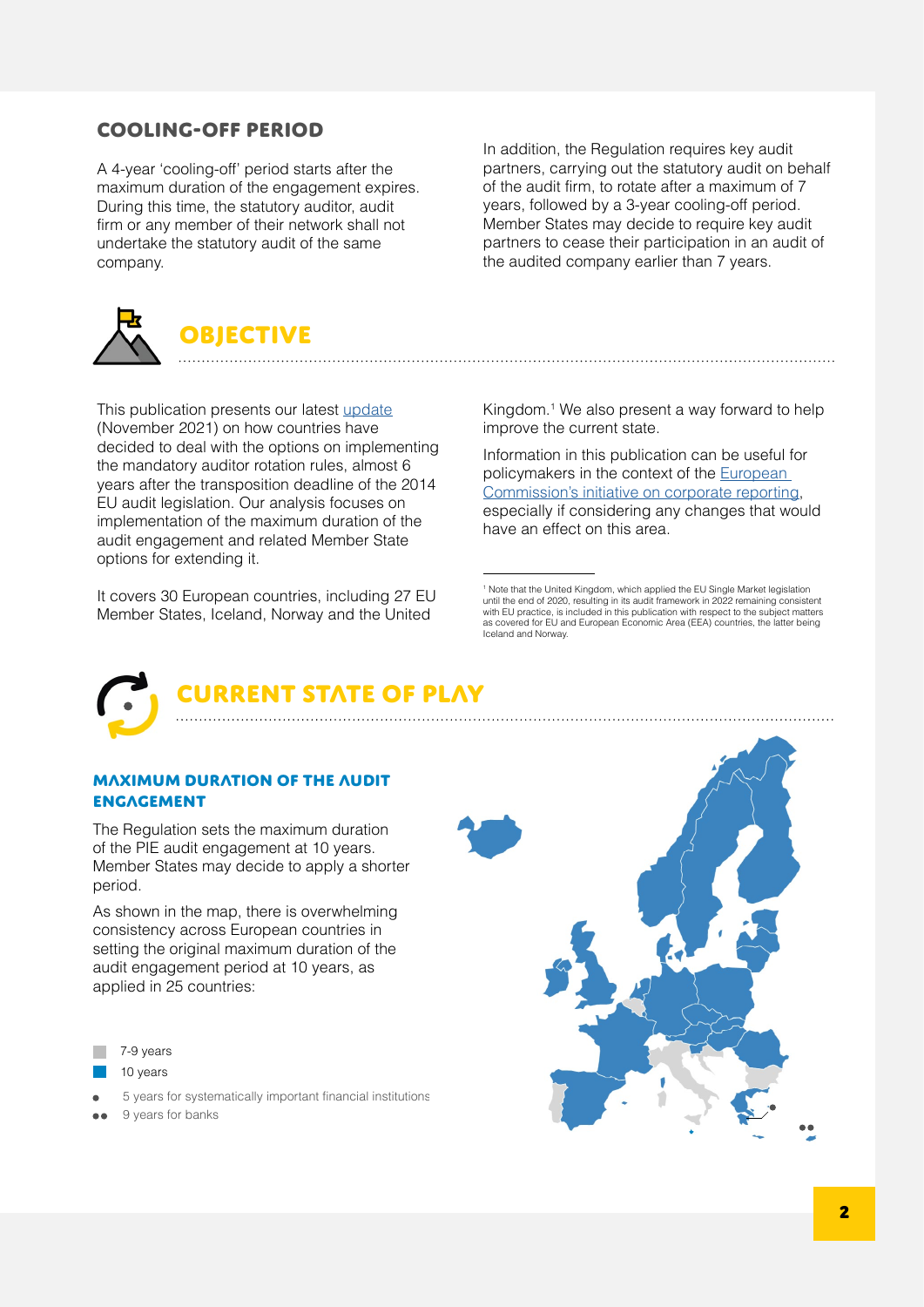## Cooling-off period

A 4-year 'cooling-off' period starts after the maximum duration of the engagement expires. During this time, the statutory auditor, audit firm or any member of their network shall not undertake the statutory audit of the same company.

**OBJECTIVE** 

This publication presents our latest [update](https://www.accountancyeurope.eu/publications/1606-new-audit-rules-state-play/) (November 2021) on how countries have decided to deal with the options on implementing the mandatory auditor rotation rules, almost 6 years after the transposition deadline of the 2014 EU audit legislation. Our analysis focuses on implementation of the maximum duration of the audit engagement and related Member State options for extending it.

It covers 30 European countries, including 27 EU Member States, Iceland, Norway and the United

In addition, the Regulation requires key audit partners, carrying out the statutory audit on behalf of the audit firm, to rotate after a maximum of 7 years, followed by a 3-year cooling-off period. Member States may decide to require key audit partners to cease their participation in an audit of the audited company earlier than 7 years.

Kingdom.1 We also present a way forward to help improve the current state.

Information in this publication can be useful for policymakers in the context of the **European** [Commission's initiative on corporate reporting](https://ec.europa.eu/info/law/better-regulation/have-your-say/initiatives/13128-Corporate-reporting-improving-its-quality-and-enforcement_sk), especially if considering any changes that would have an effect on this area.



## **STATE OF PLAY**

### Maximum duration of the audit **ENGAGEMENT**

The Regulation sets the maximum duration of the PIE audit engagement at 10 years. Member States may decide to apply a shorter period.

As shown in the map, there is overwhelming consistency across European countries in setting the original maximum duration of the audit engagement period at 10 years, as applied in 25 countries:

- 7-9 years
- 10 years
- 5 years for systematically important financial institutions
- 9 years for banks



<sup>&</sup>lt;sup>1</sup> Note that the United Kingdom, which applied the EU Single Market legislation until the end of 2020, resulting in its audit framework in 2022 remaining consistent with EU practice, is included in this publication with respect to the subject matters as covered for EU and European Economic Area (EEA) countries, the latter being Iceland and Norway.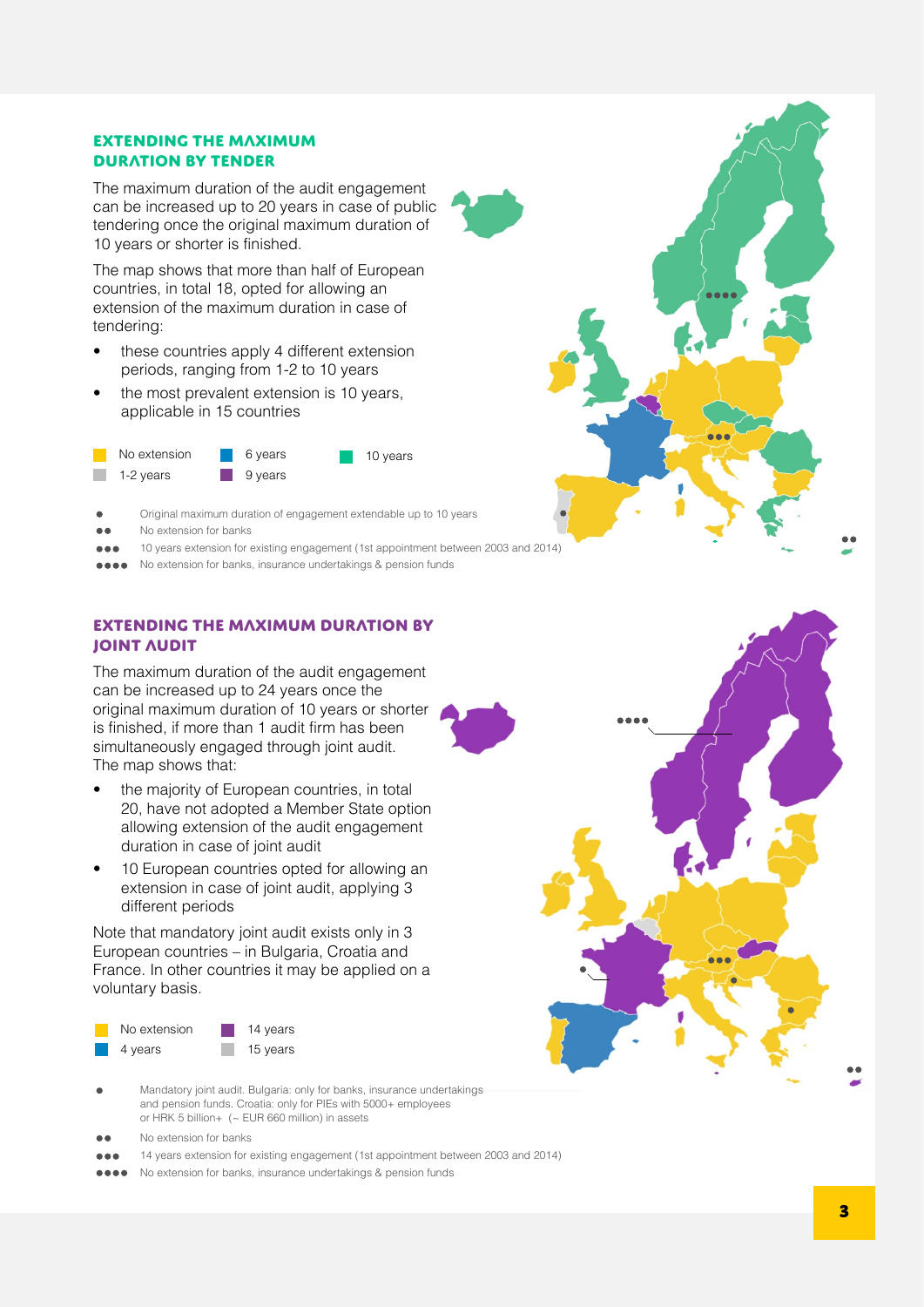## Extending the maximum duration by tender

The maximum duration of the audit engagement can be increased up to 20 years in case of public tendering once the original maximum duration of 10 years or shorter is finished.

The map shows that more than half of European countries, in total 18, opted for allowing an extension of the maximum duration in case of tendering:

- these countries apply 4 different extension periods, ranging from 1-2 to 10 years
- the most prevalent extension is 10 years. applicable in 15 countries



- Original maximum duration of engagement extendable up to 10 years
- No extension for banks
- 10 years extension for existing engagement (1st appointment between 2003 and 2014)
- No extension for banks, insurance undertakings & pension funds

## Extending the maximum duration by joint audit

The maximum duration of the audit engagement can be increased up to 24 years once the original maximum duration of 10 years or shorter is finished, if more than 1 audit firm has been simultaneously engaged through joint audit. The map shows that:

- the majority of European countries, in total 20, have not adopted a Member State option allowing extension of the audit engagement duration in case of joint audit
- 10 European countries opted for allowing an extension in case of joint audit, applying 3 different periods

Note that mandatory joint audit exists only in 3 European countries – in Bulgaria, Croatia and France. In other countries it may be applied on a voluntary basis.



- Mandatory joint audit. Bulgaria: only for banks, insurance undertakings and pension funds. Croatia: only for PIEs with 5000+ employees or HRK 5 billion+ (~ EUR 660 million) in assets
- No extension for banks
- 14 years extension for existing engagement (1st appointment between 2003 and 2014)
- No extension for banks, insurance undertakings & pension funds....